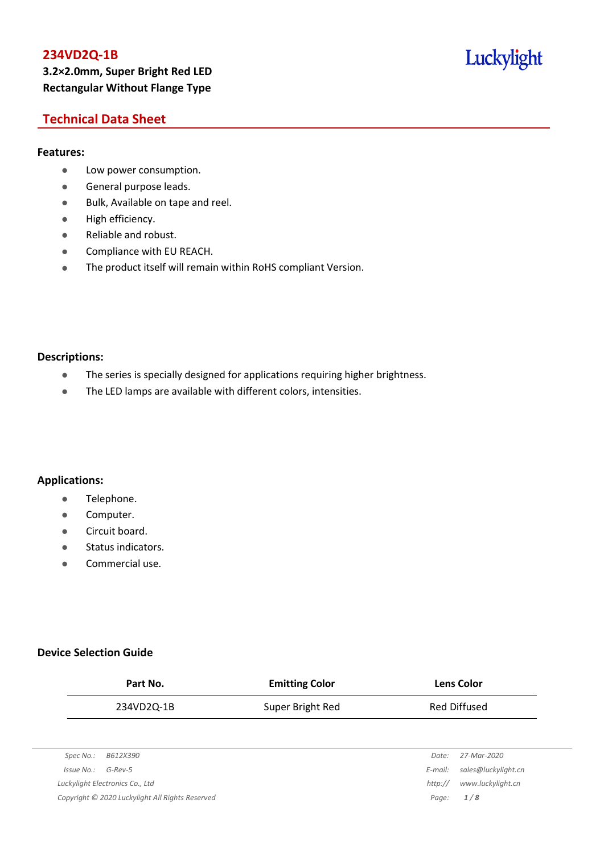# **234VD2Q-1B 3.2×2.0mm, Super Bright Red LED Rectangular Without Flange Type**

# Luckylight

## **Technical Data Sheet**

## **Features:**

- **•** Low power consumption.
- **General purpose leads.**
- Bulk, Available on tape and reel.
- High efficiency.
- Reliable and robust.
- **•** Compliance with EU REACH.
- The product itself will remain within RoHS compliant Version.

#### **Descriptions:**

- The series is specially designed for applications requiring higher brightness.
- The LED lamps are available with different colors, intensities.

## **Applications:**

- **•** Telephone.
- **•** Computer.
- **•** Circuit board.
- **•** Status indicators.
- Commercial use.

## **Device Selection Guide**

| Part No.                        | <b>Emitting Color</b> | <b>Lens Color</b>              |  |
|---------------------------------|-----------------------|--------------------------------|--|
| 234VD2Q-1B                      | Super Bright Red      | <b>Red Diffused</b>            |  |
|                                 |                       |                                |  |
| B612X390<br>Spec No.:           |                       | 27-Mar-2020<br>Date:           |  |
| $G$ -Rev-5<br>Issue No.:        |                       | sales@luckylight.cn<br>E-mail: |  |
| Luckylight Electronics Co., Ltd |                       | www.luckylight.cn<br>http://   |  |

*Copyright © 2020 Luckylight All Rights Reserved Page: 1 / 8*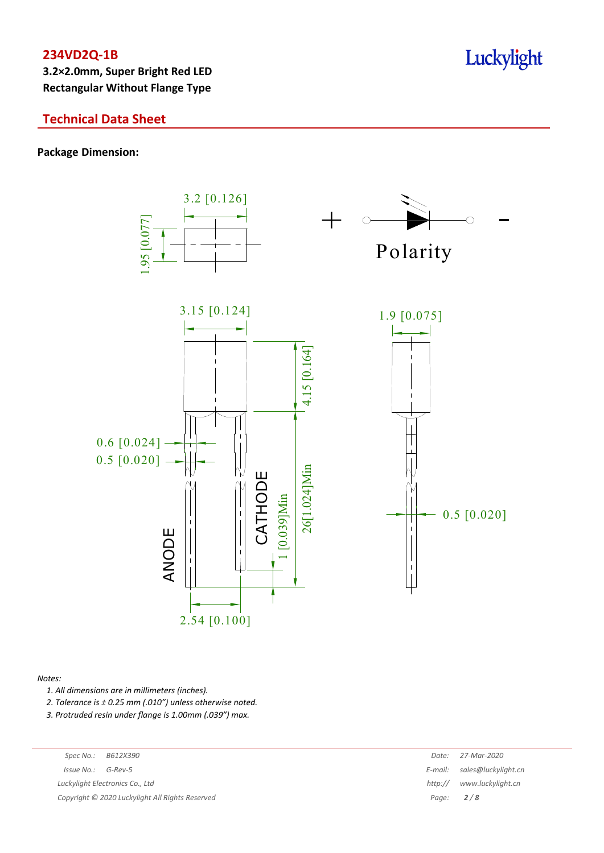**3.2×2.0mm, Super Bright Red LED Rectangular Without Flange Type**

## **Technical Data Sheet**

**Package Dimension:**



#### *Notes:*

*1. All dimensions are in millimeters (inches).*

*2. Tolerance is ± 0.25 mm (.010″) unless otherwise noted.*

*3. Protruded resin under flange is 1.00mm (.039″) max.*

*Luckylight Electronics Co., Ltd* 

*Copyright © 2020 Luckylight All Rights Reserved Page: 2 / 8*

| Spec No.:                                     | B612X390 | Date:       | 27-Mar-2020                 |
|-----------------------------------------------|----------|-------------|-----------------------------|
| 'ssue No.:                                    | G-Rev-5  |             | E-mail: sales@luckylight.cn |
| ckylight Electronics Co., Ltd                 |          | http://     | www.luckylight.cn           |
| pyright © 2020 Luckylight All Rights Reserved |          | Page: $2/8$ |                             |

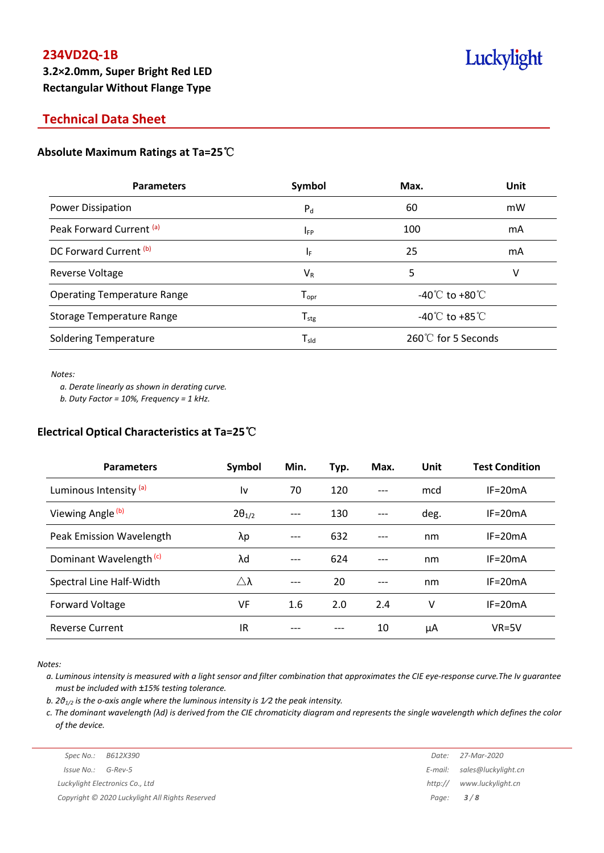**3.2×2.0mm, Super Bright Red LED Rectangular Without Flange Type**

## **Technical Data Sheet**

## **Absolute Maximum Ratings at Ta=25**℃

| <b>Parameters</b>                  | Symbol                       | Max.                                 | Unit |  |
|------------------------------------|------------------------------|--------------------------------------|------|--|
| <b>Power Dissipation</b>           | $P_d$                        | 60                                   | mW   |  |
| Peak Forward Current (a)           | $I_{FP}$                     | 100                                  | mA   |  |
| DC Forward Current <sup>(b)</sup>  | ΙF                           | 25                                   | mA   |  |
| Reverse Voltage                    | $V_{R}$                      | 5                                    | v    |  |
| <b>Operating Temperature Range</b> | ${\mathsf T}_{\textsf{opr}}$ | -40 $^{\circ}$ C to +80 $^{\circ}$ C |      |  |
| <b>Storage Temperature Range</b>   | ${\mathsf T}_{\text{stg}}$   | -40 $^{\circ}$ C to +85 $^{\circ}$ C |      |  |
| <b>Soldering Temperature</b>       | $\mathsf{T}_{\mathsf{sld}}$  | 260℃ for 5 Seconds                   |      |  |

*Notes:*

*a. Derate linearly as shown in derating curve.*

*b. Duty Factor = 10%, Frequency = 1 kHz.*

## **Electrical Optical Characteristics at Ta=25**℃

| <b>Parameters</b>                  | Symbol          | Min.  | Typ. | Max.  | Unit | <b>Test Condition</b> |
|------------------------------------|-----------------|-------|------|-------|------|-----------------------|
| Luminous Intensity <sup>(a)</sup>  | l٧              | 70    | 120  |       | mcd  | $IF = 20mA$           |
| Viewing Angle (b)                  | $2\theta_{1/2}$ | ---   | 130  |       | deg. | $IF = 20mA$           |
| Peak Emission Wavelength           | λp              | $---$ | 632  |       | nm   | $IF = 20mA$           |
| Dominant Wavelength <sup>(c)</sup> | λd              | ---   | 624  | $---$ | nm   | $IF=20mA$             |
| Spectral Line Half-Width           | Δλ              | ---   | 20   | $---$ | nm   | $IF = 20mA$           |
| Forward Voltage                    | VF              | 1.6   | 2.0  | 2.4   | v    | $IF = 20mA$           |
| <b>Reverse Current</b>             | IR.             |       |      | 10    | μA   | $VR=5V$               |

*Notes:*

a. Luminous intensity is measured with a light sensor and filter combination that approximates the CIE eye-response curve. The Iv quarantee *must be included with ±15% testing tolerance.*

*b. 2θ1/2 is the o-axis angle where the luminous intensity is 1⁄2 the peak intensity.*

c. The dominant wavelength ( $\lambda$ d) is derived from the CIE chromaticity diagram and represents the single wavelength which defines the color *of the device.*

|                    | Luckylight Electronics Co., Ltd | http:// www.luckylig |
|--------------------|---------------------------------|----------------------|
| Issue No.: G-Rev-5 |                                 | E-mail: sales@luckyl |
|                    | Spec No.: B612X390              | Date: 27-Mar-2020    |

*Issue No.: G-Rev-5 E-mail: sales@luckylight.cn Luckylight Electronics Co., Ltd http:// www.luckylight.cn Copyright © 2020 Luckylight All Rights Reserved Page: 3 / 8*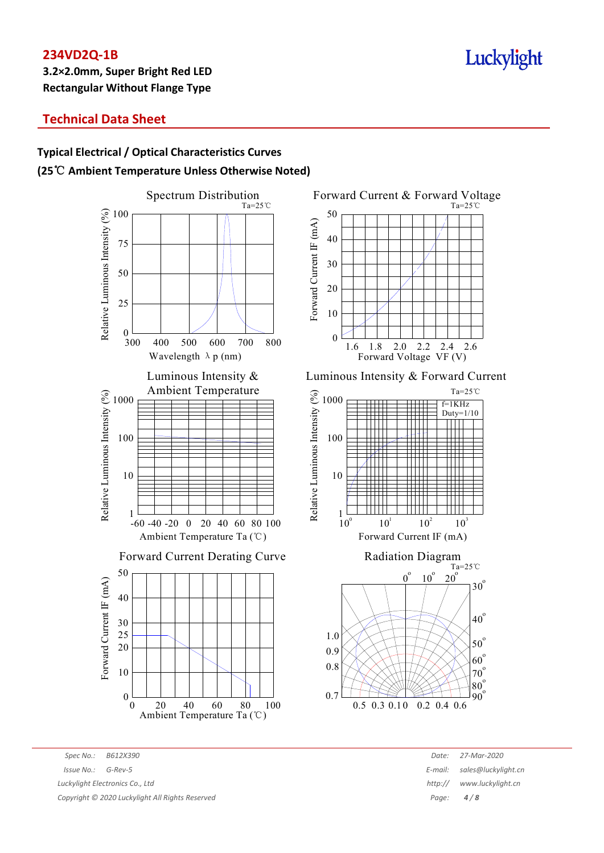## **Technical Data Sheet**

# **Typical Electrical / Optical Characteristics Curves (25**℃ **Ambient Temperature Unless Otherwise Noted)**





Luminous Intensity & Forward Current





*Spec No.: B612X390 Date: 27-Mar-2020 Issue No.: G-Rev-5 E-mail: sales@luckylight.cn Luckylight Electronics Co., Ltd http:// www.luckylight.cn Copyright © 2020 Luckylight All Rights Reserved Page: 4 / 8*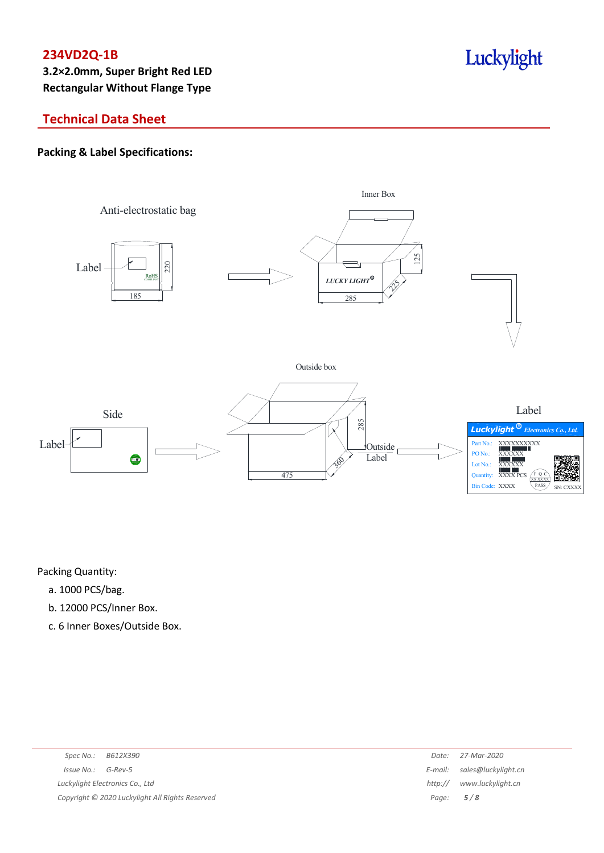**3.2×2.0mm, Super Bright Red LED Rectangular Without Flange Type**

# Luckylight

# **Technical Data Sheet**

## **Packing & Label Specifications:**



Packing Quantity:

- a. 1000 PCS/bag.
- b. 12000 PCS/Inner Box.
- c. 6 Inner Boxes/Outside Box.

| Spec No.:<br>B612X390                           | Date:   | 27-Mar-2020                 |
|-------------------------------------------------|---------|-----------------------------|
| $Issue No.: G-Rev-5$                            |         | E-mail: sales@luckylight.cn |
| Luckylight Electronics Co., Ltd                 | http:// | www.luckylight.cn           |
| Copyright © 2020 Luckylight All Rights Reserved |         | Page: $5/8$                 |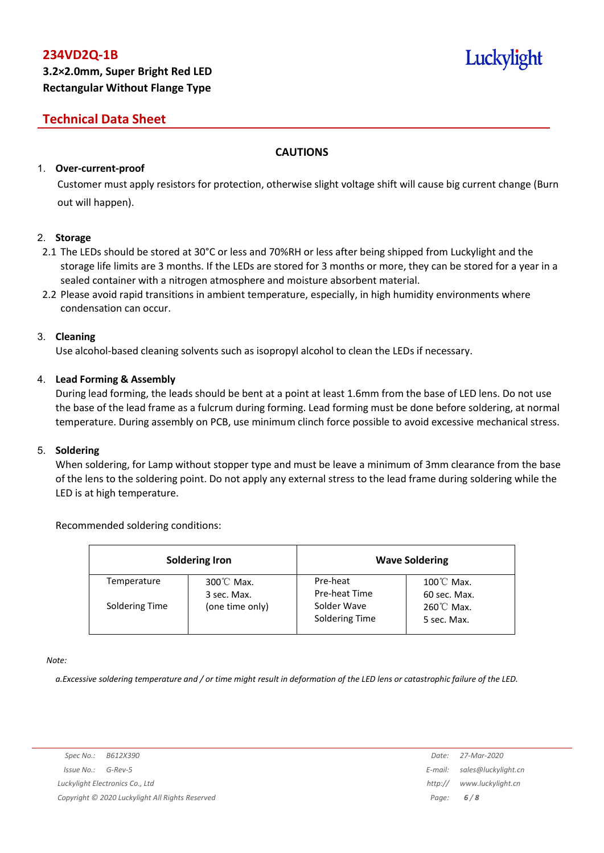# Luckylight

# **Technical Data Sheet**

## **CAUTIONS**

## 1. **Over-current-proof**

Customer must apply resistors for protection, otherwise slight voltage shift will cause big current change (Burn out will happen).

## 2. **Storage**

- 2.1 The LEDs should be stored at 30°C or less and 70%RH or less after being shipped from Luckylight and the storage life limits are 3 months. If the LEDs are stored for 3 months or more, they can be stored for a year in a sealed container with a nitrogen atmosphere and moisture absorbent material.
- 2.2 Please avoid rapid transitions in ambient temperature, especially, in high humidity environments where condensation can occur.

#### 3. **Cleaning**

Use alcohol-based cleaning solvents such as isopropyl alcohol to clean the LEDs if necessary.

## 4. **Lead Forming & Assembly**

During lead forming, the leads should be bent at a point at least 1.6mm from the base of LED lens. Do not use the base of the lead frame as a fulcrum during forming. Lead forming must be done before soldering, at normal temperature. During assembly on PCB, use minimum clinch force possible to avoid excessive mechanical stress.

#### 5. **Soldering**

When soldering, for Lamp without stopper type and must be leave a minimum of 3mm clearance from the base of the lens to the soldering point. Do not apply any external stress to the lead frame during soldering while the LED is at high temperature.

#### Recommended soldering conditions:

|                | <b>Soldering Iron</b>               | <b>Wave Soldering</b>         |                                      |  |
|----------------|-------------------------------------|-------------------------------|--------------------------------------|--|
| Temperature    | $300^{\circ}$ C Max.<br>3 sec. Max. | Pre-heat<br>Pre-heat Time     | $100^{\circ}$ C Max.<br>60 sec. Max. |  |
| Soldering Time | (one time only)                     | Solder Wave<br>Soldering Time | $260^{\circ}$ C Max.<br>5 sec. Max.  |  |

*Note:*

a. Excessive soldering temperature and / or time might result in deformation of the LED lens or catastrophic failure of the LED.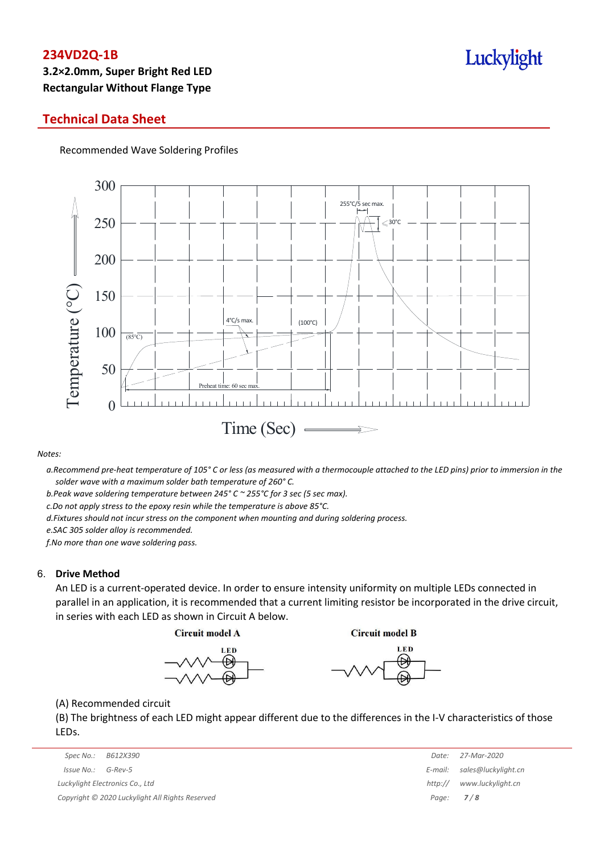# **3.2×2.0mm, Super Bright Red LED Rectangular Without Flange Type**

## **Technical Data Sheet**

Recommended Wave Soldering Profiles



#### *Notes:*

a. Recommend pre-heat temperature of 105° C or less (as measured with a thermocouple attached to the LED pins) prior to immersion in the *solder wave with a maximum solder bath temperature of 260° C.*

*b.Peak wave soldering temperature between 245° C ~ 255°C for 3 sec (5 sec max).*

*c.Do not apply stress to the epoxy resin while the temperature is above 85°C.*

*d.Fixtures should not incur stress on the component when mounting and during soldering process.*

*e.SAC 305 solder alloy is recommended.*

*f.No more than one wave soldering pass.*

#### 6. **Drive Method**

An LED is a current-operated device. In order to ensure intensity uniformity on multiple LEDs connected in parallel in an application, it is recommended that a current limiting resistor be incorporated in the drive circuit, in series with each LED as shown in Circuit A below.

**Circuit model A** 

**Circuit model B** 





(A) Recommended circuit

(B) The brightness of each LED might appear different due to the differences in the I-V characteristics of those LEDs.

| Spec No.:                                       | B612X390                        | Date:   | 27-Mar-2020                 |
|-------------------------------------------------|---------------------------------|---------|-----------------------------|
| Issue No.:                                      | G-Rev-5                         |         | E-mail: sales@luckylight.cn |
|                                                 | Luckylight Electronics Co., Ltd | http:// | www.luckylight.cn           |
| Copyright © 2020 Luckylight All Rights Reserved |                                 |         | Page: $7/8$                 |

|                  | Date: 27-Mar-2020   |
|------------------|---------------------|
| E-mail:          | sales@luckylight.cn |
| http://          | www.luckylight.cn   |
| Page: <b>7/8</b> |                     |

# Luckylight